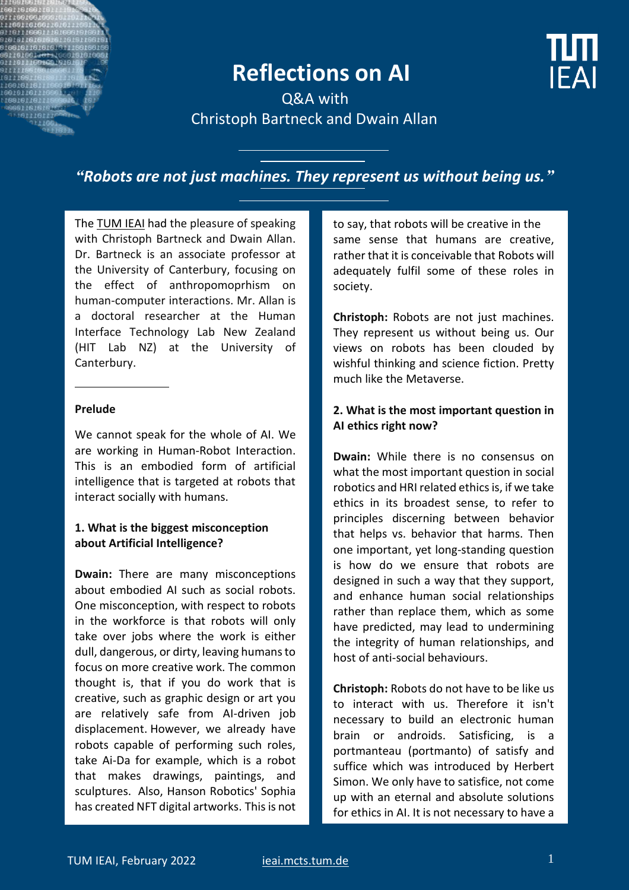# **Reflections on AI**



 Q&A with Christoph Bartneck and Dwain Allan

*"Robots are not just machines. They represent us without being us."*

Th[e TUM IEAI](https://ieai.mcts.tum.de/) had the pleasure of speaking with Christoph Bartneck and Dwain Allan. Dr. Bartneck is an associate professor at the University of Canterbury, focusing on the effect of anthropomoprhism on human-computer interactions. Mr. Allan is a doctoral researcher at the Human Interface Technology Lab New Zealand (HIT Lab NZ) at the University of Canterbury.

#### **Prelude**

We cannot speak for the whole of AI. We are working in Human-Robot Interaction. This is an embodied form of artificial intelligence that is targeted at robots that interact socially with humans.

#### **1. What is the biggest misconception about Artificial Intelligence?**

**Dwain:** There are many misconceptions about embodied AI such as social robots. One misconception, with respect to robots in the workforce is that robots will only take over jobs where the work is either dull, dangerous, or dirty, leaving humans to focus on more creative work. The common thought is, that if you do work that is creative, such as graphic design or art you are relatively safe from AI-driven job displacement. However, we already have robots capable of performing such roles, take Ai-Da for example, which is a robot that makes drawings, paintings, and sculptures. Also, Hanson Robotics' Sophia has created NFT digital artworks. This is not to say, that robots will be creative in the same sense that humans are creative, rather that it is conceivable that Robots will adequately fulfil some of these roles in society.

**Christoph:** Robots are not just machines. They represent us without being us. Our views on robots has been clouded by wishful thinking and science fiction. Pretty much like the Metaverse.

#### **2. What is the most important question in AI ethics right now?**

**Dwain:** While there is no consensus on what the most important question in social robotics and HRI related ethics is, if we take ethics in its broadest sense, to refer to principles discerning between behavior that helps vs. behavior that harms. Then one important, yet long-standing question is how do we ensure that robots are designed in such a way that they support, and enhance human social relationships rather than replace them, which as some have predicted, may lead to undermining the integrity of human relationships, and host of anti-social behaviours.

**Christoph:** Robots do not have to be like us to interact with us. Therefore it isn't necessary to build an electronic human brain or androids. Satisficing, is a portmanteau (portmanto) of satisfy and suffice which was introduced by Herbert Simon. We only have to satisfice, not come up with an eternal and absolute solutions for ethics in AI. It is not necessary to have a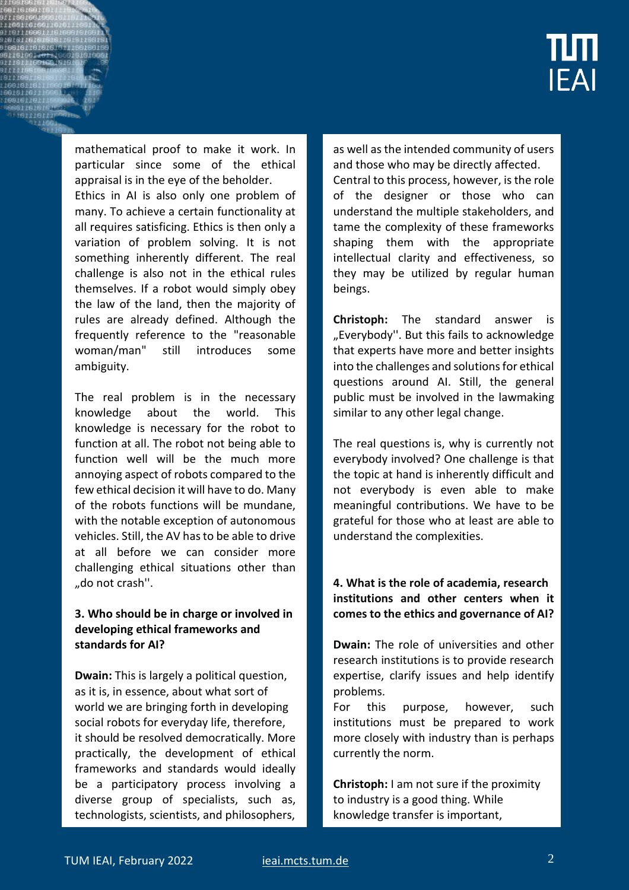

mathematical proof to make it work. In particular since some of the ethical appraisal is in the eye of the beholder.

Ethics in AI is also only one problem of many. To achieve a certain functionality at all requires satisficing. Ethics is then only a variation of problem solving. It is not something inherently different. The real challenge is also not in the ethical rules themselves. If a robot would simply obey the law of the land, then the majority of rules are already defined. Although the frequently reference to the "reasonable woman/man" still introduces some ambiguity.

The real problem is in the necessary knowledge about the world. This knowledge is necessary for the robot to function at all. The robot not being able to function well will be the much more annoying aspect of robots compared to the few ethical decision it will have to do. Many of the robots functions will be mundane, with the notable exception of autonomous vehicles. Still, the AV has to be able to drive at all before we can consider more challenging ethical situations other than "do not crash".

#### **3. Who should be in charge or involved in developing ethical frameworks and standards for AI?**

**Dwain:** This is largely a political question, as it is, in essence, about what sort of world we are bringing forth in developing social robots for everyday life, therefore, it should be resolved democratically. More practically, the development of ethical frameworks and standards would ideally be a participatory process involving a diverse group of specialists, such as, technologists, scientists, and philosophers,

as well as the intended community of users and those who may be directly affected. Central to this process, however, is the role of the designer or those who can understand the multiple stakeholders, and tame the complexity of these frameworks shaping them with the appropriate intellectual clarity and effectiveness, so they may be utilized by regular human beings.

**Christoph:** The standard answer is "Everybody". But this fails to acknowledge that experts have more and better insights into the challenges and solutions for ethical questions around AI. Still, the general public must be involved in the lawmaking similar to any other legal change.

The real questions is, why is currently not everybody involved? One challenge is that the topic at hand is inherently difficult and not everybody is even able to make meaningful contributions. We have to be grateful for those who at least are able to understand the complexities.

## **4. What is the role of academia, research institutions and other centers when it comes to the ethics and governance of AI?**

**Dwain:** The role of universities and other research institutions is to provide research expertise, clarify issues and help identify problems.

For this purpose, however, such institutions must be prepared to work more closely with industry than is perhaps currently the norm.

**Christoph:** I am not sure if the proximity to industry is a good thing. While knowledge transfer is important,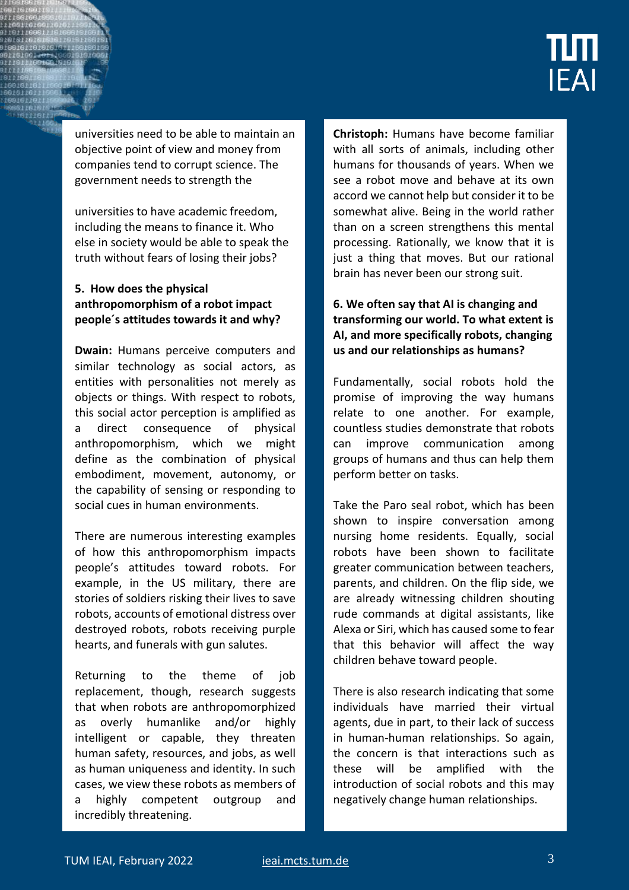

universities need to be able to maintain an objective point of view and money from companies tend to corrupt science. The government needs to strength the

universities to have academic freedom, including the means to finance it. Who else in society would be able to speak the truth without fears of losing their jobs?

# **5. How does the physical anthropomorphism of a robot impact people´s attitudes towards it and why?**

**Dwain:** Humans perceive computers and similar technology as social actors, as entities with personalities not merely as objects or things. With respect to robots, this social actor perception is amplified as a direct consequence of physical anthropomorphism, which we might define as the combination of physical embodiment, movement, autonomy, or the capability of sensing or responding to social cues in human environments.

There are numerous interesting examples of how this anthropomorphism impacts people's attitudes toward robots. For example, in the US military, there are stories of soldiers risking their lives to save robots, accounts of emotional distress over destroyed robots, robots receiving purple hearts, and funerals with gun salutes.

Returning to the theme of job replacement, though, research suggests that when robots are anthropomorphized as overly humanlike and/or highly intelligent or capable, they threaten human safety, resources, and jobs, as well as human uniqueness and identity. In such cases, we view these robots as members of a highly competent outgroup and incredibly threatening.

**Christoph:** Humans have become familiar with all sorts of animals, including other humans for thousands of years. When we see a robot move and behave at its own accord we cannot help but consider it to be somewhat alive. Being in the world rather than on a screen strengthens this mental processing. Rationally, we know that it is just a thing that moves. But our rational brain has never been our strong suit.

# **6. We often say that AI is changing and transforming our world. To what extent is AI, and more specifically robots, changing us and our relationships as humans?**

Fundamentally, social robots hold the promise of improving the way humans relate to one another. For example, countless studies demonstrate that robots can improve communication among groups of humans and thus can help them perform better on tasks.

Take the Paro seal robot, which has been shown to inspire conversation among nursing home residents. Equally, social robots have been shown to facilitate greater communication between teachers, parents, and children. On the flip side, we are already witnessing children shouting rude commands at digital assistants, like Alexa or Siri, which has caused some to fear that this behavior will affect the way children behave toward people.

There is also research indicating that some individuals have married their virtual agents, due in part, to their lack of success in human-human relationships. So again, the concern is that interactions such as these will be amplified with the introduction of social robots and this may negatively change human relationships.